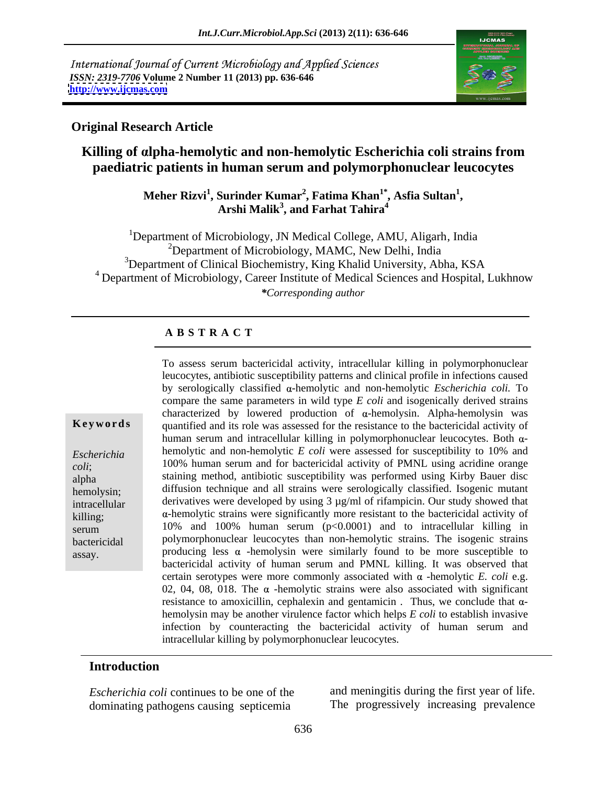International Journal of Current Microbiology and Applied Sciences *ISSN: 2319-7706* **Volume 2 Number 11 (2013) pp. 636-646 <http://www.ijcmas.com>**



### **Original Research Article**

# **Killing of lpha-hemolytic and non-hemolytic Escherichia coli strains from paediatric patients in human serum and polymorphonuclear leucocytes**

# **Meher Rizvi<sup>1</sup> , Surinder Kumar<sup>2</sup> , Fatima Khan1\* , Arshi Malik3 , and Farhat Tahira<sup>4</sup> , Asfia Sultan<sup>1</sup>**

<sup>1</sup>Department of Microbiology, JN Medical College, AMU, Aligarh, India  $2$ Department of Microbiology, MAMC, New Delhi, India <sup>3</sup>Department of Clinical Biochemistry, King Khalid University, Abha, KSA <sup>4</sup> Department of Microbiology, Career Institute of Medical Sciences and Hospital, Lukhnow *\*Corresponding author* 

### **A B S T R A C T**

**Keywords** quantified and its role was assessed for the resistance to the bactericidal activity of *Escherichia*  hemolytic and non-hemolytic *E coli* were assessed for susceptibility to 10% and *coli*; 100% human serum and for bactericidal activity of PMNL using acridine orange alpha staining method, antibiotic susceptibility was performed using Kirby Bauerdisc hemolysin; diffusion technique and all strains were serologically classified. Isogenic mutant intracellular derivatives were developed by using 3 µg/ml of rifampicin. Our study showed that killing; a-hemolytic strains were significantly more resistant to the bactericidal activity of serum 10% and 100% human serum  $(p<0.0001)$  and to intracellular killing in bactericidal polymorphonuclear leucocytes than non-hemolytic strains. The isogenic strains To assess serum bactericidal activity, intracellular killing in polymorphonuclear<br>
leucocytes, antibiotic susceptibility patterns and clinical profile in infections caused<br>
by serologically classified a-hemolytic and nonleucocytes, antibiotic susceptibility patterns and clinical profile in infections caused by serologically classified α-hemolytic and non-hemolytic *Escherichia coli*. To compare the same parameters in wild type *E coli* and isogenically derived strains characterized by lowered production of  $\alpha$ -hemolysin. Alpha-hemolysin was human serum and intracellular killing in polymorphonuclear leucocytes. Both  $\alpha$ producing less  $\alpha$  -hemolysin were similarly found to be more susceptible to bactericidal activity of human serum and PMNL killing. It was observed that certain serotypes were more commonly associated with  $\alpha$  -hemolytic *E. coli* e.g. 02, 04, 08, 018. The  $\alpha$  -hemolytic strains were also associated with significant resistance to amoxicillin, cephalexin and gentamicin. Thus, we conclude that  $\alpha$ hemolysin may be another virulence factor which helps *E coli* to establish invasive infection by counteracting the bactericidal activity of human serum and intracellular killing by polymorphonuclear leucocytes.

### **Introduction**

*Escherichia coli* continues to be one of the and meningitis during the first year of life. dominating pathogens causing septicemia

The progressively increasing prevalence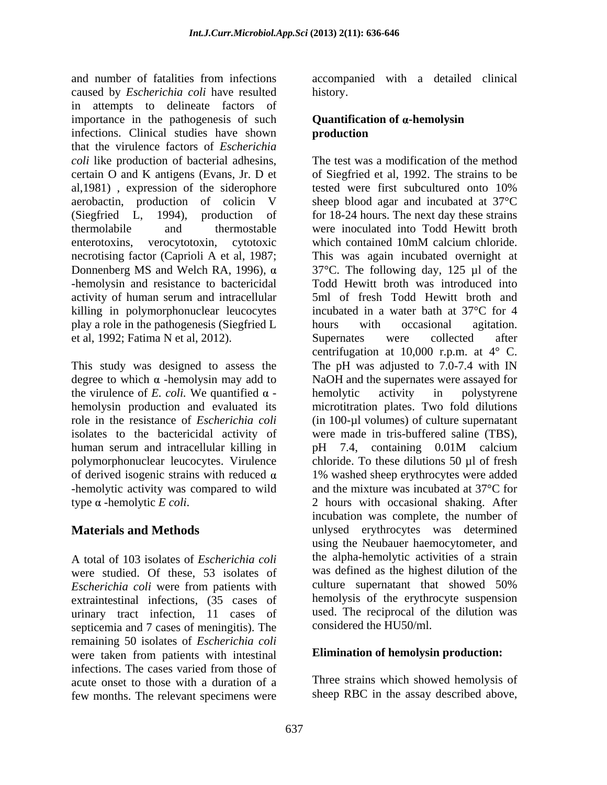and number of fatalities from infections accompanied with a detailed clinical caused by *Escherichia coli* have resulted history. in attempts to delineate factors of importance in the pathogenesis of such infections. Clinical studies have shown that the virulence factors of *Escherichia coli* like production of bacterial adhesins, The test was a modification of the method certain O and K antigens (Evans, Jr. D et of Siegfried et al, 1992. The strains to be al, 1981), expression of the siderophore tested were first subcultured onto 10% aerobactin, production of colicin V sheep blood agar and incubated at 37°C (Siegfried L, 1994), production of for 18-24 hours. The next day these strains thermolabile and thermostable were inoculated into Todd Hewitt broth enterotoxins, verocytotoxin, cytotoxic which contained 10mM calcium chloride. necrotising factor (Caprioli A et al, 1987; Donnenberg MS and Welch RA, 1996),  $\alpha$ -hemolysin and resistance to bactericidal activity of human serum and intracellular killing in polymorphonuclear leucocytes play a role in the pathogenesis (Siegfried L et al, 1992; Fatima N et al, 2012).

degree to which  $\alpha$  -hemolysin may add to the virulence of *E. coli.* We quantified  $\alpha$  - hemolytic activity in polystyrene isolates to the bactericidal activity of human serum and intracellular killing in  $\mu$  pH 7.4, containing 0.01M calcium -hemolytic activity was compared to wild

A total of 103 isolates of *Escherichia coli* were studied. Of these, 53 isolates of was defined as the highest dilution of the <br>Fscherichia coli were from patients with culture supernatant that showed 50% *Escherichia coli* were from patients with extraintestinal infections, (35 cases of urinary tract infection,11 cases of septicemia and 7 cases of meningitis). The remaining 50 isolates of *Escherichia coli* were taken from patients with intestinal infections. The cases varied from those of acute onset to those with a duration of a few months. The relevant specimens were

history.

### **Quantification of α-hemolysin production**

This study was designed to assess the The pH was adjusted to 7.0-7.4 with IN hemolysin production and evaluated its microtitration plates. Two fold dilutions role in the resistance of *Escherichia coli* (in 100-µl volumes) of culture supernatant polymorphonuclear leucocytes. Virulence chloride. To these dilutions 50 µl of fresh of derived isogenic strains with reduced  $\alpha$  1% washed sheep erythrocytes were added type  $\alpha$  -hemolytic *E coli*. 2 hours with occasional shaking. After **Materials and Methods** unlysed erythrocytes was determined tested were first subcultured onto 10% which contained 10mM calcium chloride. This was again incubated overnight at 37°C. The following day, 125 µl of the Todd Hewitt broth was introduced into 5ml of fresh Todd Hewitt broth and incubated in a water bath at 37°C for 4 hours with occasional agitation. Supernates were collected after centrifugation at 10,000 r.p.m. at 4° C. NaOH and the supernates were assayed for hemolytic activity in polystyrene were made in tris-buffered saline (TBS), pH 7.4, containing 0.01M calcium and the mixture was incubated at 37°C for incubation was complete, the number of using the Neubauer haemocytometer, and the alpha-hemolytic activities of a strain was defined as the highest dilution of the culture supernatant that showed 50% hemolysis of the erythrocyte suspension used. The reciprocal of the dilution was considered the HU50/ml.

# **Elimination of hemolysin production:**

Three strains which showed hemolysis of sheep RBC in the assay described above,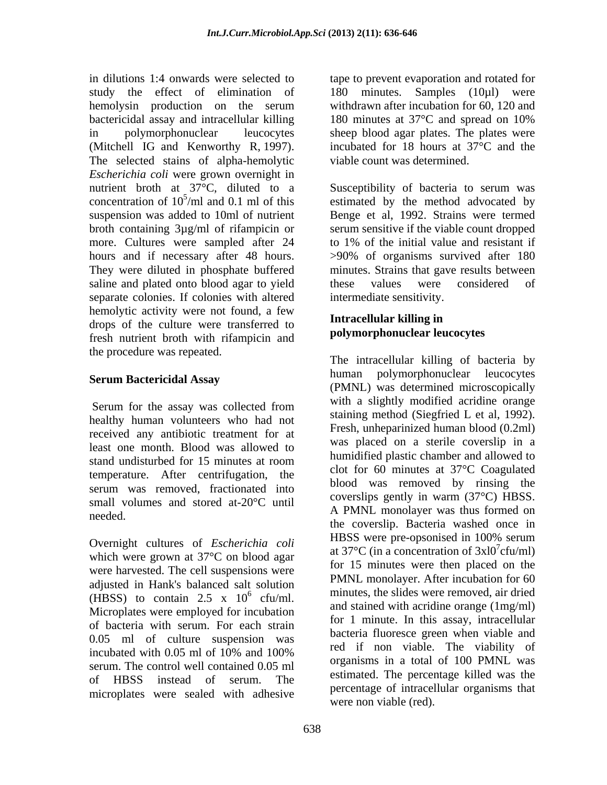in dilutions 1:4 onwards were selected to tape to prevent evaporation and rotated for study the effect of elimination of 180 minutes. Samples (10µl) were hemolysin production on the serum bactericidal assay and intracellular killing 180 minutes at 37 °C and spread on 10% in polymorphonuclear leucocytes sheep blood agar plates. The plates were (Mitchell IG and Kenworthy R, 1997). The selected stains of alpha-hemolytic *Escherichia coli* were grown overnight in nutrient broth at 37°C, diluted to a broth containing 3µg/ml of rifampicin or more. Cultures were sampled after 24 to 1% of the initial value and resistant if saline and plated onto blood agar to yield these values were considered of separate colonies. If colonies with altered hemolytic activity were not found, a few drops of the culture were transferred to fresh nutrient broth with rifampicin and the procedure was repeated.

### **Serum Bactericidal Assay**

healthy human volunteers who had not received any antibiotic treatment for at least one month. Blood was allowed to temperature. After centrifugation, the serum was removed, fractionated into small volumes and stored at-20°C until

which were grown at 37°C on blood agar were harvested. The cell suspensions were adjusted in Hank's balanced salt solution (HBSS) to contain 2.5 x  $10^6$  cfu/ml. of bacteria with serum. For each strain 0.05 ml of culture suspension was serum. The control well contained 0.05 ml microplates were sealed with adhesive

withdrawn after incubation for 60, 120 and 180 minutes at 37°C and spread on 10% incubated for 18 hours at 37°C and the viable count was determined.

nutrient broth at 37°C, diluted to a Susceptibility of bacteria to serum was concentration of  $10^5$ /ml and 0.1 ml of this estimated by the method advocated by suspension was added to 10ml of nutrient Benge et al, 1992. Strains were termed hours and if necessary after 48 hours.  $>90\%$  of organisms survived after 180 They were diluted in phosphate buffered minutes. Strains that gave results between serum sensitive if the viable count dropped to 1% of the initial value and resistant if these values were considered of intermediate sensitivity.

# **Intracellular killing in polymorphonuclear leucocytes**

Serum for the assay was collected from  $\frac{1}{1}$  a sugnity inounced actionic orange stand undisturbed for 15 minutes at room needed. Overnight cultures of *Escherichia coli* HBSS were pre-opsonised in 100% serum  $\frac{6}{\text{cfu/ml}}$  minutes, the slides were removed, air dried (HBSS) to contain 2.5 x  $10^6$  cfu/ml.<br>Microplates were employed for incubation and stained with acridine orange (1mg/ml) incubated with 0.05 ml of 10% and 100% of HBSS instead of serum. The commated the percentage kined was the The intracellular killing of bacteria by human polymorphonuclear leucocytes (PMNL) was determined microscopically with a slightly modified acridine orange staining method (Siegfried L et al, 1992). Fresh, unheparinized human blood (0.2ml) was placed on a sterile coverslip in a humidified plastic chamber and allowed to clot for 60 minutes at 37°C Coagulated blood was removed by rinsing the coverslips gently in warm (37°C) HBSS. A PMNL monolayer was thus formed on the coverslip. Bacteria washed once in HBSS were pre-opsonised in 100% serum at 37 $\mathrm{^{\circ}C}$  (in a concentration of 3xl0<sup>7</sup>cfu/ml) cfu/ml) for 15 minutes were then placed on the PMNL monolayer. After incubation for 60 and stained with acridine orange (1mg/ml) for 1 minute. In this assay, intracellular bacteria fluoresce green when viable and red if non viable. The viability of organisms in a total of 100 PMNL was estimated. The percentage killed was the percentage of intracellular organisms that were non viable (red).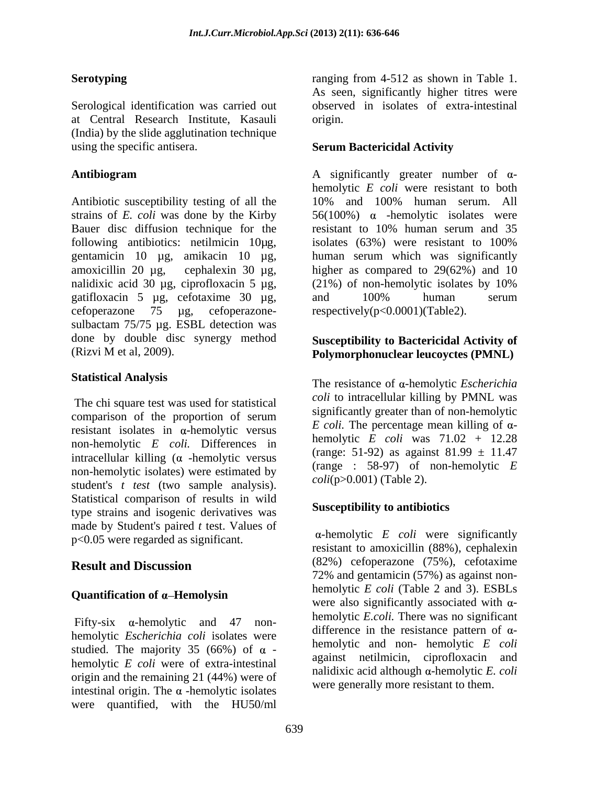Serological identification was carried out at Central Research Institute, Kasauli (India) by the slide agglutination technique using the specific antisera. **Serum Bactericidal Activity**

Antibiotic susceptibility testing of all the 10% and 100% human serum. All strains of *E. coli* was done by the Kirby  $56(100%)$   $\alpha$  -hemolytic isolates were Bauer disc diffusion technique for the resistant to 10% human serum and 35 following antibiotics: netilmicin 10 kg, isolates (63%) were resistant to 100% gentamicin 10 µg, amikacin 10 µg, amoxicillin 20 µg, cephalexin 30 µg, higher as compared to 29(62%) and 10 nalidixic acid 30 µg, ciprofloxacin 5 µg, (21%) of non-hemolytic isolates by 10% gatifloxacin 5 µg, cefotaxime 30 µg, cefoperazone 75 µg, cefoperazone- respectively(p<0.0001)(Table2). sulbactam 75/75 µg. ESBL detection was done by double disc synergy method (Rizvi M et al, 2009).

The chi square test was used for statistical comparison of the proportion of serum resistant isolates in  $\alpha$ -hemolytic versus non-hemolytic *E coli.* Differences in intracellular killing  $(\alpha$  -hemolytic versus non-hemolytic isolates) were estimated by student's *t test* (two sample analysis). Statistical comparison of results in wild type strains and isogenic derivatives was made by Student's paired *t* test. Values of p<0.05 were regarded as significant.

# Quantification of  $\alpha$ -Hemolysin

Fifty-six  $\alpha$ -hemolytic and 47 nonhemolytic *Escherichia coli* isolates were studied. The majority 35 (66%) of  $\alpha$  hemolytic *E coli* were of extra-intestinal origin and the remaining 21 (44%) were of intestinal origin. The  $\alpha$ -hemolytic isolates were quantified, with the HU50/ml

**Serotyping ranging from 4-512 as shown in Table 1.** As seen, significantly higher titres were observed in isolates of extra-intestinal origin.

**Antibiogram** A significantly greater number of αhemolytic *E coli* were resistant to both resistant to 10% human serum and 35 isolates (63%) were resistant to 100% human serum which was significantly (21%) of non-hemolytic isolates by 10% and 100% human serum

# **Susceptibility to Bactericidal Activity of Polymorphonuclear leucoyctes (PMNL)**

**Statistical Analysis** The resistance of α-hemolytic *Escherichia coli* to intracellular killing by PMNL was significantly greater than of non-hemolytic *E coli*. The percentage mean killing of  $\alpha$ hemolytic *E coli* was 71.02 + 12.28 (range: 51-92) as against  $81.99 \pm 11.47$ (range : 58-97) of non-hemolytic *E coli*(p>0.001) (Table 2).

# **Susceptibility to antibiotics**

**Result and Discussion** (82%) detoperazione (15%), cerotaxime -hemolytic *E coli* were significantly resistant to amoxicillin (88%), cephalexin (82%) cefoperazone (75%), cefotaxime 72% and gentamicin (57%) as against non hemolytic *E coli* (Table 2 and 3). ESBLs were also significantly associated with  $\alpha$ hemolytic *E.coli.* There was no significant difference in the resistance pattern of  $\alpha$ hemolytic and non- hemolytic *E coli*  against netilmicin, ciprofloxacin and nalidixic acid although  $\alpha$ -hemolytic *E. coli* were generally more resistant to them.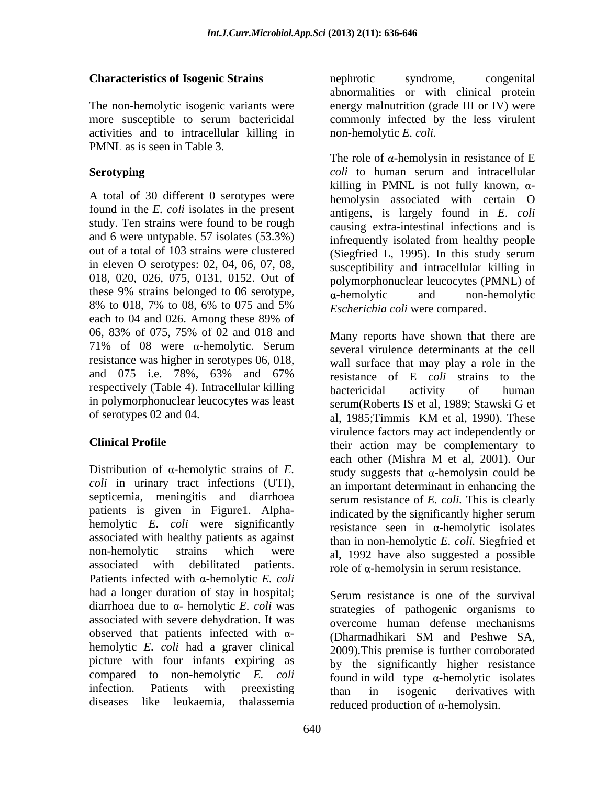activities and to intracellular killing in PMNL as is seen in Table 3.

A total of 30 different 0 serotypes were found in the *E. coli* isolates in the present study. Ten strains were found to be rough and 6 were untypable. 57 isolates (53.3%) 018, 020, 026, 075, 0131, 0152. Out of these 9% strains belonged to 06 serotype,  $\alpha$ -hemolytic and non-hemolytic each to 04 and 026. Among these 89% of 06, 83% of 075, 75% of 02 and 018 and resistance was higher in serotypes 06, 018, respectively (Table 4). Intracellular killing bactericidal activity of human in polymorphonuclear leucocytes was least of serotypes 02 and 04. al. 1985; Timmis KM et al. 1990). These

Distribution of  $\alpha$ -hemolytic strains of  $E$ . septicemia, meningitis and diarrhoea patients is given in Figure1. Alpha-<br>indicated by the significantly higher serum hemolytic *E*. *coli* were significantly associated with healthy patients as against associated with debilitated patients. role of  $\alpha$ -hemolysin in serum resistance. Patients infected with  $\alpha$ -hemolytic *E. coli* had a longer duration of stay in hospital; diarrhoea due to  $\alpha$ - hemolytic *E. coli* was associated with severe dehydration. It was observed that patients infected with  $\alpha$ - (Dharmadhikari SM and Peshwe SA, hemolytic *E. coli* had a graver clinical picture with four infants expiring as compared to non-hemolytic *E. coli* 

**Characteristics of Isogenic Strains Characteristics of Isogenic Strains Conserved Properties Conserved Properties** The non-hemolytic isogenic variants were energy malnutrition (grade III or IV) were more susceptible to serum bactericidal commonly infected by the less virulent nephrotic syndrome, congenital abnormalities or with clinical protein non-hemolytic *E. coli.*

**Serotyping** coli to human serum and intracellular out of a total of 103 strains were clustered (Siegfried L, 1995). In this study serum in eleven O serotypes: 02, 04, 06, 07, 08, susceptibility and intracellular killing in 8% to 018, 7% to 08, 6% to 075 and 5%  $\qquad$  Escherichia coli were compared The role of  $\alpha$ -hemolysin in resistance of E *coli* to human serum and intracellular killing in PMNL is not fully known,  $\alpha$ hemolysin associated with certain O antigens, is largely found in *E*. *coli*  causing extra-intestinal infections and is infrequently isolated from healthy people polymorphonuclear leucocytes (PMNL) of -hemolytic and non-hemolytic *Escherichia coli* were compared.

71% of 08 were  $\alpha$ -hemolytic. Serum several virulence determinants at the cell and 075 i.e. 78%, 63% and 67% resistance of  $E$  coli strains to the **Clinical Profile** their action may be complementary to *coli* in urinary tract infections (UTI), an important determinant in enhancing the non-hemolytic strains which were al, 1992 have also suggested a possible Many reports have shown that there are several virulence determinants at the cell wall surface that may play a role in the resistance of E *coli* strains to the bactericidal activity of human serum(Roberts IS et al, 1989; Stawski G et al, 1985;Timmis KM et al, 1990). These virulence factors may act independently or each other (Mishra M et al, 2001). Our study suggests that  $\alpha$ -hemolysin could be serum resistance of *E. coli.* This is clearly indicated by the significantly higher serum resistance seen in  $\alpha$ -hemolytic isolates than in non-hemolytic *E*. *coli.* Siegfried et

infection. Patients with preexisting than in isogenic derivatives with diseases like leukaemia, thalassemia reduced production of  $\alpha$ -hemolysin. Serum resistance is one of the survival strategies of pathogenic organisms to overcome human defense mechanisms (Dharmadhikari SM and Peshwe SA, 2009).This premise is further corroborated by the significantly higher resistance found in wild type  $\alpha$ -hemolytic isolates than in isogenic derivatives with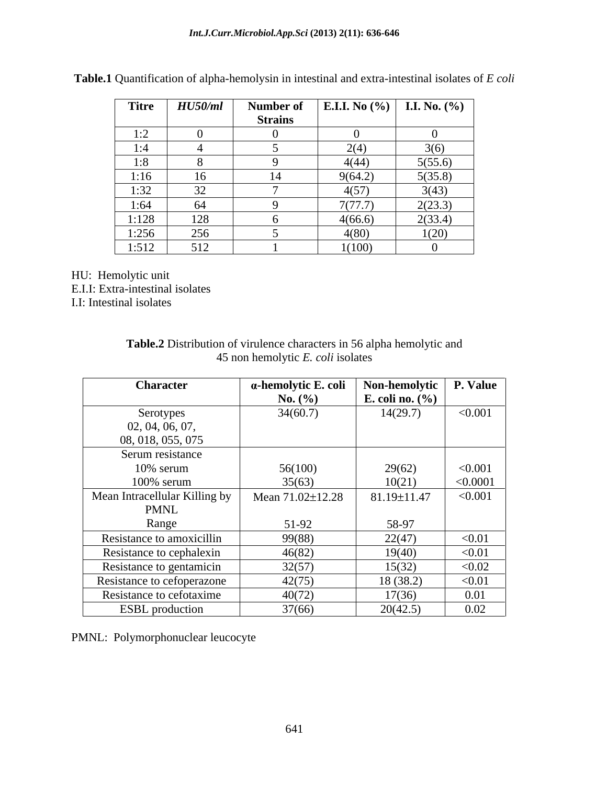| <b>Titre</b>             | HU50/ml  | Number of      | <b>E.I.I.</b> No $(\%)$ <b>I.I.</b> No. $(\%)$ |              |
|--------------------------|----------|----------------|------------------------------------------------|--------------|
|                          |          | <b>Strains</b> |                                                |              |
| 1.2<br>$\perp$ . $\perp$ |          |                |                                                |              |
| 1:4                      |          |                | 2(4)                                           | 3(6)         |
| 1:8                      | $\omega$ |                | 4(44)                                          | 5(55.6)      |
| 1:16                     | 16       |                | 9(64.2)                                        | 5(35.8)      |
| 1:32                     | 32       |                | 4(57)                                          | 3(43)        |
| 1:64                     | 64       |                | 7(77.7)                                        | 2(23.3)      |
| 1:128                    | 128      |                | 4(66.6)                                        | 2(33.4)      |
| 1:256                    | 256      |                | 4(80)                                          | 1(20)        |
| 1:512                    | 512      |                | 1(100)                                         | $\mathbf{U}$ |

**Table.1** Quantification of alpha-hemolysin in intestinal and extra-intestinal isolates of *E coli*

HU: Hemolytic unit E.I.I: Extra-intestinal isolates I.I: Intestinal isolates

| Table.2<br>$\bullet$ $\lnot$<br>o alpha hemolytic and<br>characters in 56<br>t virulence<br>. Distribution 4 |  |
|--------------------------------------------------------------------------------------------------------------|--|
| t isolates<br>hemolytic <i>E</i> .<br>$\sqrt{O(1)}$<br>чоп                                                   |  |

| <b>Character</b>              | a-hemolytic E. coli | Non-hemolytic   P. Value |          |
|-------------------------------|---------------------|--------------------------|----------|
|                               | <b>No.</b> $(\% )$  | E. coli no. $(\% )$      |          |
| Serotypes                     | 34(60.7)            | 14(29.7)                 | < 0.001  |
| 02, 04, 06, 07,               |                     |                          |          |
| 08, 018, 055, 075             |                     |                          |          |
| Serum resistance              |                     |                          |          |
| $10\%$ serum                  | 56(100)             | 29(62)                   | < 0.001  |
| $100\%$ serum                 | 35(63)              | 10(21)                   | < 0.0001 |
| Mean Intracellular Killing by | Mean 71.02±12.28    | 81.19±11.47              | < 0.001  |
| PMNL                          |                     |                          |          |
| Range                         | 51-92               | 58-97                    |          |
| Resistance to amoxicillin     | 99(88)              | 22(47)                   | < 0.01   |
| Resistance to cephalexin      | 46(82)              | 19(40)                   | < 0.01   |
| Resistance to gentamicin      | 32(57)              | 15(32)                   | < 0.02   |
| Resistance to cefoperazone    | 42(75)              | 18 (38.2)                | < 0.01   |
| Resistance to cefotaxime      | 40(72)              | 17(36)                   | 0.01     |
| <b>ESBL</b> production        | 37(66)              | 20(42.5)                 | 0.02     |

PMNL: Polymorphonuclear leucocyte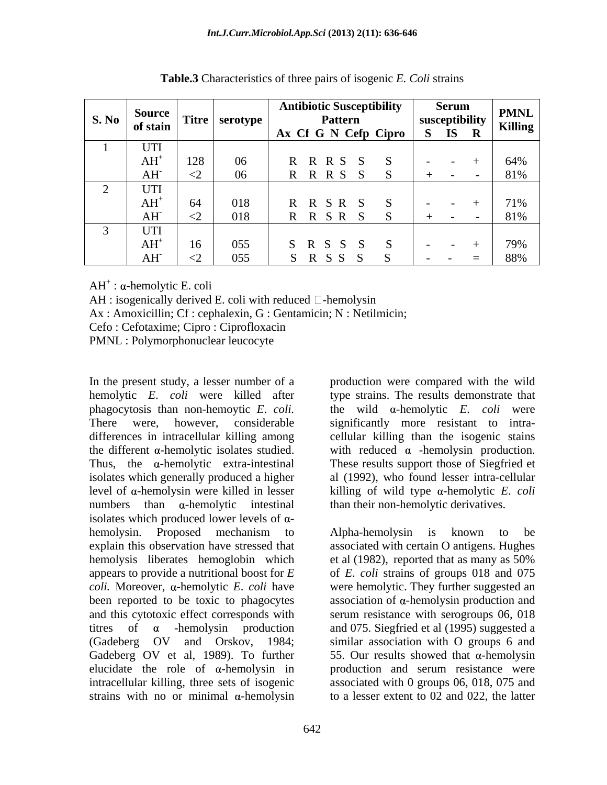| $\left  \begin{array}{c} S. \text{No} \\ \text{of } \text{stain} \end{array} \right $ |                 | $\blacksquare$ Source   Titre   serotype | <b>Antibiotic Susceptibility</b><br>Pattern<br>Ax Cf G N Cefp Cipro   S IS R | Serum<br>susceptibility | <b>PMNL</b><br><b>Killing</b> |
|---------------------------------------------------------------------------------------|-----------------|------------------------------------------|------------------------------------------------------------------------------|-------------------------|-------------------------------|
| UTI                                                                                   |                 |                                          |                                                                              |                         |                               |
| $AH^+$                                                                                | 128             | 06                                       |                                                                              |                         | 64%                           |
| $AH^{\cdot}$                                                                          |                 | 06                                       | R R S                                                                        |                         | 81%                           |
| UTI                                                                                   |                 |                                          |                                                                              |                         |                               |
| $\mathrm{AH}^+$                                                                       |                 | 018                                      |                                                                              |                         | 1%                            |
| AH                                                                                    | ╲╱              | 018                                      | R R S R                                                                      |                         | 81%                           |
| UTI                                                                                   |                 |                                          |                                                                              |                         |                               |
| $AH^+$                                                                                | 10 <sup>1</sup> | 055                                      | <b>K</b> N                                                                   |                         |                               |
| AH <sup>-</sup>                                                                       | ≦∠              | 055                                      | R S S                                                                        |                         | 88%                           |

**Table.3** Characteristics of three pairs of isogenic *E. Coli* strains

 $AH^+$ :  $\alpha$ -hemolytic E. coli  $AH^+$ :  $\alpha$ -hemolytic E. coli

 $AH:$  isogenically derived E. coli with reduced  $\Box$ -hemolysin

Ax : Amoxicillin; Cf : cephalexin, G : Gentamicin; N : Netilmicin;

Cefo : Cefotaxime; Cipro : Ciprofloxacin

PMNL : Polymorphonuclear leucocyte

In the present study, a lesser number of a production were compared with the wild hemolytic *E*. *coli* were killed after type strains. The results demonstrate that phagocytosis than non-hemoytic *E. coli.* 
the wild  $\alpha$ -hemolytic *E. coli* were There were, however, considerable significantly more resistant to intra differences in intracellular killing among cellular killing than the isogenic stains the different  $\alpha$ -hemolytic isolates studied. with reduced  $\alpha$  -hemolysin production. Thus, the  $\alpha$ -hemolytic extra-intestinal These results support those of Siegfried et isolates which generally produced a higher level of  $\alpha$ -hemolysin were killed in lesser  $\alpha$  killing of wild type  $\alpha$ -hemolytic *E. coli* numbers than  $\alpha$ -hemolytic intestinal than their non-hemolytic derivatives. isolates which produced lower levels of  $\alpha$ hemolysin. Proposed mechanism to explain this observation have stressed that associated with certain O antigens. Hughes hemolysis liberates hemoglobin which et al (1982), reported that as many as 50% appears to provide a nutritional boost for *E* of *E*. *coli* strains of groups 018 and 075 *coli.* Moreover, α-hemolytic *E. coli* have were hemolytic. They further suggested an been reported to be toxic to phagocytes association of  $\alpha$ -hemolysin production and and this cytotoxic effect corresponds with serum resistance with serogroups 06, 018 titres of  $\alpha$  -hemolysin production and 075. Siegfried et al (1995) suggested a (Gadeberg OV and Orskov, 1984; similar association with O groups 6 and Gadeberg OV et al, 1989). To further elucidate the role of  $\alpha$ -hemolysin in intracellular killing, three sets of isogenic associated with 0 groups 06, 018, 075 and strains with no or minimal  $\alpha$ -hemolysin to a lesser extent to 02 and 022, the latter

Alpha-hemolysin is known to be et al (1982), reported that as many as 50%

al (1992), who found lesser intra-cellular

55. Our results showed that  $\alpha$ -hemolysin production and serum resistance were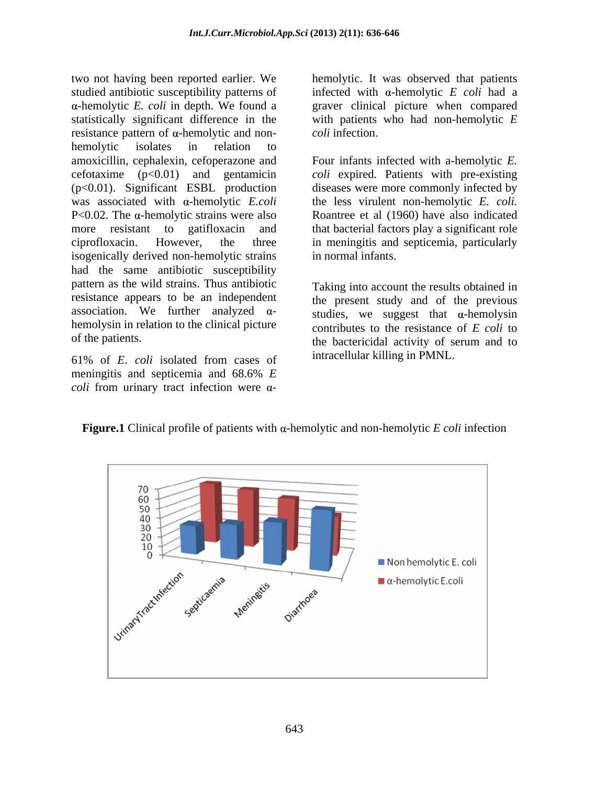two not having been reported earlier. We studied antibiotic susceptibility patterns of infected with  $\alpha$ -hemolytic *E coli* had a statistically significant difference in the with patients who had non-hemolytic *E* resistance pattern of  $\alpha$ -hemolytic and non-<br>coli infection. hemolytic isolates in relation to amoxicillin, cephalexin, cefoperazone and Four infants infected with a-hemolytic *E.* cefotaxime (p<0.01) and gentamicin *coli* expired. Patients with pre-existing (p<0.01). Significant ESBL production diseases were more commonly infected by was associated with  $\alpha$ -hemolytic *E.coli*  $P<0.02$ . The  $\alpha$ -hemolytic strains were also  $\alpha$  Roantree et al (1960) have also indicated more resistant to gatifloxacin and that bacterial factors play a significant role ciprofloxacin. However, the three in meningitis and septicemia, particularly isogenically derived non-hemolytic strains had the same antibiotic susceptibility pattern as the wild strains. Thus antibiotic resistance appears to be an independent association. We further analyzed  $\alpha$ hemolysin in relation to the clinical picture two not having been reported earlier. We hemolytic. It was observed that patients<br>
stuctude antibiotic susceptibility patterns of infected with a-hemolytic *E* coli had a a-hemolytic *E* coli has a more - with patients wh

61% of *E*. *coli* isolated from cases of meningitis and septicemia and 68.6% *E*

-hemolytic *E. coli* in depth. We found a graver clinical picture when compared *coli* infection.

> the less virulent non-hemolytic *E. coli.*  in normal infants.

of the patients. The bactericial activity of serum and to Taking into account the results obtained in the present study and of the previous studies, we suggest that  $\alpha$ -hemolysin contributes to the resistance of *E coli* to the bactericidal activity of serum and to intracellular killing in PMNL.



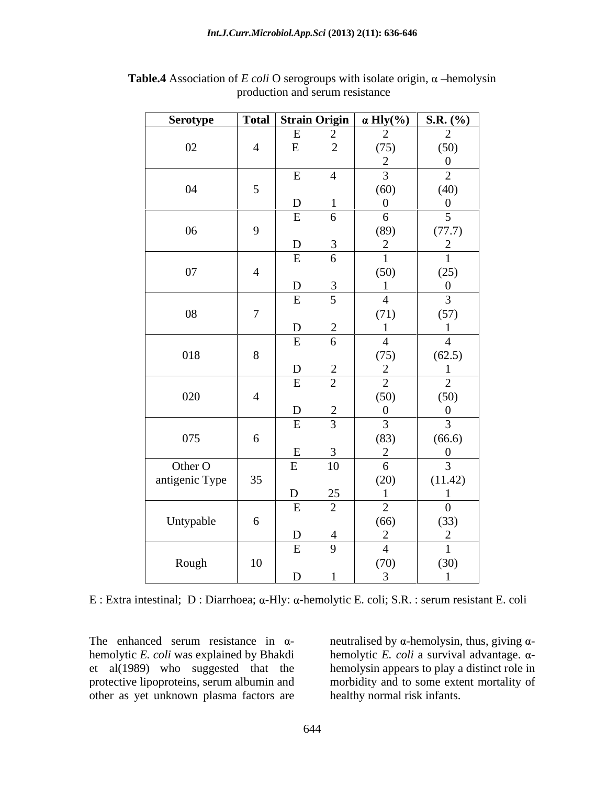| Serotype       |                 |              |                 | <b>Total</b> Strain Origin $\alpha$ Hly(%) | <b>S.R.</b> $(\%)$                       |
|----------------|-----------------|--------------|-----------------|--------------------------------------------|------------------------------------------|
|                |                 | E            |                 | 2                                          | 2                                        |
| 02             | $\overline{4}$  | ${\bf E}$    | $\frac{2}{2}$   | (75)                                       |                                          |
|                |                 |              |                 | 2                                          | $(50)$ 0                                 |
|                |                 | E            | $\overline{4}$  | $\mathfrak{Z}$                             | $\overline{2}$                           |
| 04             | $5\overline{)}$ |              |                 | (60)                                       |                                          |
|                |                 | ${\bf D}$    |                 | $\overline{0}$                             | $\begin{array}{c} (40) \\ 0 \end{array}$ |
|                |                 | ${\bf E}$    | 6               | 6                                          | $5\overline{)}$                          |
| 06             | 9               |              |                 | (89)                                       | (77.7)                                   |
|                |                 | ${\bf D}$    | $\overline{3}$  | 2                                          | $\overline{2}$                           |
|                |                 | E            | 6               |                                            |                                          |
| 07             | $\overline{4}$  |              |                 | (50)                                       |                                          |
|                |                 | ${\bf D}$    | $\overline{3}$  |                                            | $(25)$<br>0                              |
|                |                 | $\, {\bf E}$ | $5\overline{)}$ | $\overline{4}$                             | $\mathfrak{Z}$                           |
| 08             | $\overline{7}$  |              |                 | (71)                                       | (57)                                     |
|                |                 | ${\bf D}$    | 2               |                                            |                                          |
|                |                 | $\,$ E       | 6               | $\overline{4}$                             | $\overline{4}$                           |
| 018            | 8               |              |                 | (75)                                       | (62.5)                                   |
|                |                 | ${\bf D}$    | 2               | 2                                          |                                          |
|                |                 | $\,$ E       | 2               | 2                                          | $\overline{2}$                           |
| 020            | $\overline{4}$  |              |                 | (50)                                       |                                          |
|                |                 | ${\bf D}$    | 2               | $\mathbf{0}$                               | $(50)$<br>0                              |
|                |                 | $\,$ E       | $\overline{3}$  | $\mathfrak{Z}$                             | $\overline{3}$                           |
| 075            | $6\phantom{.}6$ |              |                 | (83)                                       | (66.6)                                   |
|                |                 | $\, {\bf E}$ | $\overline{3}$  | 2                                          | $\overline{0}$                           |
| Other O        |                 | $\,$ E       | 10              | 6                                          | $\mathfrak{Z}$                           |
| antigenic Type | 35              |              |                 | (20)                                       | (11.42)                                  |
|                |                 | ${\bf D}$    | 25              |                                            |                                          |
|                |                 | E            | 2               | 2                                          | $\overline{0}$                           |
| Untypable      | 6               |              |                 | (66)                                       |                                          |
|                |                 | ${\bf D}$    | $\overline{4}$  | 2                                          | $(33)$<br>2                              |
|                |                 | $\mathbf E$  | 9               | $\overline{4}$                             |                                          |
| Rough          | 10              |              |                 | (70)                                       | (30)                                     |
|                |                 | ${\bf D}$    |                 | $\overline{3}$                             |                                          |
|                |                 |              |                 |                                            |                                          |

**Table.4** Association of *E coli* O serogroups with isolate origin,  $\alpha$  -hemolysin production and serum resistance

 $E:$  Extra intestinal; D : Diarrhoea;  $\alpha$ -Hly:  $\alpha$ -hemolytic E. coli; S.R. : serum resistant E. coli

The enhanced serum resistance in  $\alpha$ - neutralised by  $\alpha$ -hemolysin, thus, giving  $\alpha$ hemolytic *E. coli* was explained by Bhakdi hemolytic *E. coli* a survival advantage. αet al(1989) who suggested that the hemolysin appears to play a distinct role in protective lipoproteins, serum albumin and morbidity and to some extent mortality of other as yet unknown plasma factors are

healthy normal risk infants.